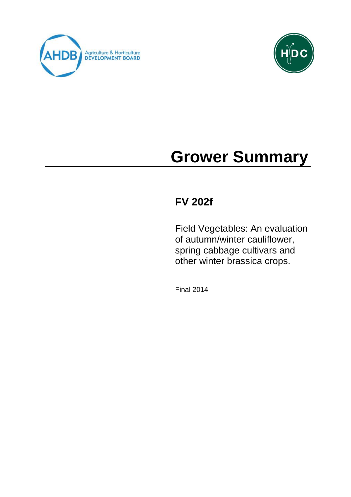



# **Grower Summary**

# **FV 202f**

Field Vegetables: An evaluation of autumn/winter cauliflower, spring cabbage cultivars and other winter brassica crops.

Final 2014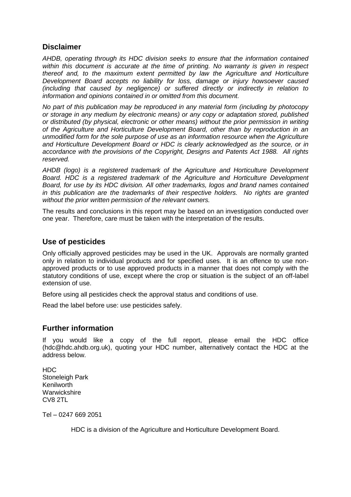#### **Disclaimer**

*AHDB, operating through its HDC division seeks to ensure that the information contained within this document is accurate at the time of printing. No warranty is given in respect thereof and, to the maximum extent permitted by law the Agriculture and Horticulture Development Board accepts no liability for loss, damage or injury howsoever caused (including that caused by negligence) or suffered directly or indirectly in relation to information and opinions contained in or omitted from this document.* 

*No part of this publication may be reproduced in any material form (including by photocopy or storage in any medium by electronic means) or any copy or adaptation stored, published or distributed (by physical, electronic or other means) without the prior permission in writing of the Agriculture and Horticulture Development Board, other than by reproduction in an unmodified form for the sole purpose of use as an information resource when the Agriculture and Horticulture Development Board or HDC is clearly acknowledged as the source, or in accordance with the provisions of the Copyright, Designs and Patents Act 1988. All rights reserved.* 

*AHDB (logo) is a registered trademark of the Agriculture and Horticulture Development Board. HDC is a registered trademark of the Agriculture and Horticulture Development Board, for use by its HDC division. All other trademarks, logos and brand names contained in this publication are the trademarks of their respective holders. No rights are granted without the prior written permission of the relevant owners.*

The results and conclusions in this report may be based on an investigation conducted over one year. Therefore, care must be taken with the interpretation of the results.

#### **Use of pesticides**

Only officially approved pesticides may be used in the UK. Approvals are normally granted only in relation to individual products and for specified uses. It is an offence to use nonapproved products or to use approved products in a manner that does not comply with the statutory conditions of use, except where the crop or situation is the subject of an off-label extension of use.

Before using all pesticides check the approval status and conditions of use.

Read the label before use: use pesticides safely.

#### **Further information**

If you would like a copy of the full report, please email the HDC office (hdc@hdc.ahdb.org.uk), quoting your HDC number, alternatively contact the HDC at the address below.

HDC Stoneleigh Park Kenilworth **Warwickshire** CV8 2TL

Tel – 0247 669 2051

HDC is a division of the Agriculture and Horticulture Development Board.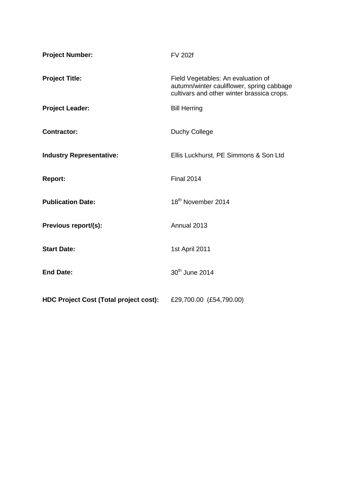| <b>Project Number:</b>                        | <b>FV 202f</b>                                                                                                                |
|-----------------------------------------------|-------------------------------------------------------------------------------------------------------------------------------|
| <b>Project Title:</b>                         | Field Vegetables: An evaluation of<br>autumn/winter cauliflower, spring cabbage<br>cultivars and other winter brassica crops. |
| <b>Project Leader:</b>                        | <b>Bill Herring</b>                                                                                                           |
| <b>Contractor:</b>                            | Duchy College                                                                                                                 |
| <b>Industry Representative:</b>               | Ellis Luckhurst, PE Simmons & Son Ltd                                                                                         |
| <b>Report:</b>                                | <b>Final 2014</b>                                                                                                             |
| <b>Publication Date:</b>                      | 18 <sup>th</sup> November 2014                                                                                                |
| Previous report/(s):                          | Annual 2013                                                                                                                   |
| <b>Start Date:</b>                            | 1st April 2011                                                                                                                |
| <b>End Date:</b>                              | 30 <sup>th</sup> June 2014                                                                                                    |
| <b>HDC Project Cost (Total project cost):</b> | £29,700.00 (£54,790.00)                                                                                                       |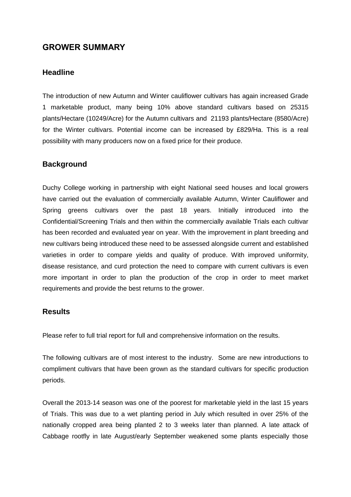### **GROWER SUMMARY**

#### **Headline**

The introduction of new Autumn and Winter cauliflower cultivars has again increased Grade 1 marketable product, many being 10% above standard cultivars based on 25315 plants/Hectare (10249/Acre) for the Autumn cultivars and 21193 plants/Hectare (8580/Acre) for the Winter cultivars. Potential income can be increased by £829/Ha. This is a real possibility with many producers now on a fixed price for their produce.

#### **Background**

Duchy College working in partnership with eight National seed houses and local growers have carried out the evaluation of commercially available Autumn, Winter Cauliflower and Spring greens cultivars over the past 18 years. Initially introduced into the Confidential/Screening Trials and then within the commercially available Trials each cultivar has been recorded and evaluated year on year. With the improvement in plant breeding and new cultivars being introduced these need to be assessed alongside current and established varieties in order to compare yields and quality of produce. With improved uniformity, disease resistance, and curd protection the need to compare with current cultivars is even more important in order to plan the production of the crop in order to meet market requirements and provide the best returns to the grower.

#### **Results**

Please refer to full trial report for full and comprehensive information on the results.

The following cultivars are of most interest to the industry. Some are new introductions to compliment cultivars that have been grown as the standard cultivars for specific production periods.

Overall the 2013-14 season was one of the poorest for marketable yield in the last 15 years of Trials. This was due to a wet planting period in July which resulted in over 25% of the nationally cropped area being planted 2 to 3 weeks later than planned. A late attack of Cabbage rootfly in late August/early September weakened some plants especially those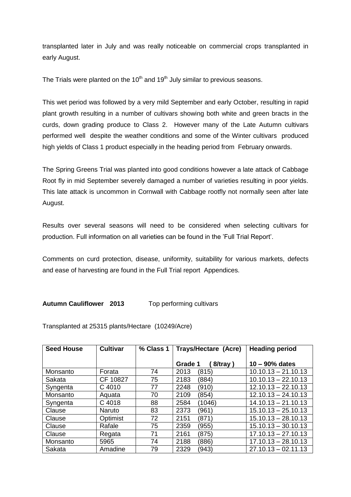transplanted later in July and was really noticeable on commercial crops transplanted in early August.

The Trials were planted on the  $10<sup>th</sup>$  and  $19<sup>th</sup>$  July similar to previous seasons.

This wet period was followed by a very mild September and early October, resulting in rapid plant growth resulting in a number of cultivars showing both white and green bracts in the curds, down grading produce to Class 2. However many of the Late Autumn cultivars performed well despite the weather conditions and some of the Winter cultivars produced high yields of Class 1 product especially in the heading period from February onwards.

The Spring Greens Trial was planted into good conditions however a late attack of Cabbage Root fly in mid September severely damaged a number of varieties resulting in poor yields. This late attack is uncommon in Cornwall with Cabbage rootfly not normally seen after late August.

Results over several seasons will need to be considered when selecting cultivars for production. Full information on all varieties can be found in the 'Full Trial Report'.

Comments on curd protection, disease, uniformity, suitability for various markets, defects and ease of harvesting are found in the Full Trial report Appendices.

#### **Autumn Cauliflower 2013** Top performing cultivars

Transplanted at 25315 plants/Hectare (10249/Acre)

| <b>Seed House</b> | <b>Cultivar</b> | % Class 1 | <b>Trays/Hectare (Acre)</b> | <b>Heading period</b> |  |
|-------------------|-----------------|-----------|-----------------------------|-----------------------|--|
|                   |                 |           | 8/tray)<br>Grade 1          | $10 - 90\%$ dates     |  |
| Monsanto          | Forata          | 74        | 2013<br>(815)               | $10.10.13 - 21.10.13$ |  |
| Sakata            | CF 10827        | 75        | 2183<br>(884)               | $10.10.13 - 22.10.13$ |  |
| Syngenta          | C 4010          | 77        | 2248<br>(910)               | $12.10.13 - 22.10.13$ |  |
| Monsanto          | Aquata          | 70        | (854)<br>2109               | $12.10.13 - 24.10.13$ |  |
| Syngenta          | C 4018          | 88        | 2584<br>(1046)              | $14.10.13 - 21.10.13$ |  |
| Clause            | Naruto          | 83        | 2373<br>(961)               | $15.10.13 - 25.10.13$ |  |
| Clause            | Optimist        | 72        | 2151<br>(871)               | $15.10.13 - 28.10.13$ |  |
| Clause            | Rafale          | 75        | 2359<br>(955)               | $15.10.13 - 30.10.13$ |  |
| Clause            | Regata          | 71        | 2161<br>(875)               | $17.10.13 - 27.10.13$ |  |
| Monsanto          | 5965            | 74        | 2188<br>(886)               | $17.10.13 - 28.10.13$ |  |
| Sakata            | Amadine         | 79        | 2329<br>(943)               | $27.10.13 - 02.11.13$ |  |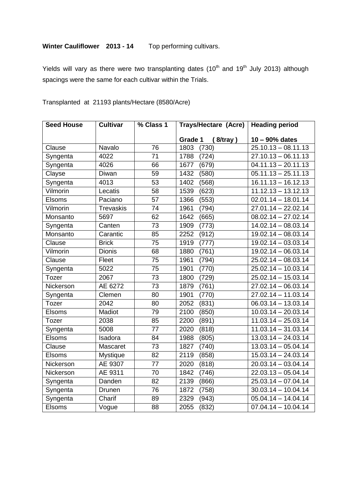## **Winter Cauliflower 2013 - 14** Top performing cultivars.

Yields will vary as there were two transplanting dates  $(10<sup>th</sup>$  and  $19<sup>th</sup>$  July 2013) although spacings were the same for each cultivar within the Trials.

| <b>Seed House</b> | <b>Cultivar</b>  | % Class 1       | <b>Trays/Hectare (Acre)</b> | <b>Heading period</b>            |
|-------------------|------------------|-----------------|-----------------------------|----------------------------------|
|                   |                  |                 | (8/tray)<br>Grade 1         | $10 - 90\%$ dates                |
| Clause            | Navalo           | $\overline{76}$ | 1803<br>(730)               | $25.10.13 - 08.11.13$            |
| Syngenta          | 4022             | 71              | (724)<br>1788               | $27.10.13 - 06.11.13$            |
| Syngenta          | 4026             | 66              | (679)<br>1677               | $04.11.13 - 20.11.13$            |
| Clayse            | Diwan            | 59              | 1432<br>(580)               | $05.11.13 - 25.11.13$            |
| Syngenta          | 4013             | 53              | (568)<br>1402               | $16.11.13 - 16.12.13$            |
| Vilmorin          | Lecatis          | 58              | 1539<br>(623)               | $11.12.13 - 13.12.13$            |
| <b>Elsoms</b>     | Paciano          | 57              | (553)<br>1366               | $02.01.14 - 18.01.14$            |
| Vilmorin          | <b>Trevaskis</b> | 74              | 1961<br>(794)               | $27.01.14 - 22.02.14$            |
| Monsanto          | 5697             | 62              | 1642<br>(665)               | $08.02.14 - 27.02.14$            |
| Syngenta          | Canten           | 73              | (773)<br>1909               | $14.02.14 - 08.03.14$            |
| Monsanto          | Carantic         | 85              | (912)<br>2252               | $19.02.14 - 08.03.14$            |
| Clause            | <b>Brick</b>     | $\overline{75}$ | 1919<br>(777)               | $19.02.14 - 03.03.14$            |
| Vilmorin          | <b>Dionis</b>    | 68              | 1880<br>(761)               | $19.02.14 - 06.03.14$            |
| Clause            | Fleet            | 75              | (794)<br>1961               | $25.02.14 - 08.03.14$            |
| Syngenta          | 5022             | $\overline{75}$ | 1901<br>(770)               | $25.02.14 - 10.03.14$            |
| <b>Tozer</b>      | 2067             | 73              | (729)<br>1800               | $25.02.14 - 15.03.14$            |
| Nickerson         | AE 6272          | 73              | (761)<br>1879               | $27.02.14 - 06.03.14$            |
| Syngenta          | Clemen           | 80              | (770)<br>1901               | $27.02.14 - 11.03.14$            |
| Tozer             | 2042             | 80              | (831)<br>2052               | $06.03.14 - 13.03.14$            |
| <b>Elsoms</b>     | Madiot           | 79              | (850)<br>2100               | $10.03.14 - 20.03.14$            |
| Tozer             | 2038             | 85              | (891)<br>2200               | $11.03.14 - 25.03.14$            |
| Syngenta          | 5008             | 77              | (818)<br>2020               | $11.03.14 - 31.03.14$            |
| <b>Elsoms</b>     | Isadora          | 84              | 1988<br>(805)               | $13.03.14 - 24.03.14$            |
| Clause            | Mascaret         | $\overline{73}$ | (740)<br>1827               | $13.03.14 - 05.04.14$            |
| <b>Elsoms</b>     | Mystique         | 82              | 2119<br>(858)               | $15.03.14 - 24.03.14$            |
| Nickerson         | AE 9307          | 77              | (818)<br>2020               | $20.03.14 - 03.04.14$            |
| Nickerson         | AE 9311          | 70              | 1842<br>(746)               | $22.03.13 - 05.04.14$            |
| Syngenta          | Danden           | 82              | 2139<br>(866)               | $25.03.14 - 07.04.14$            |
| Syngenta          | Drunen           | 76              | 1872<br>(758)               | $30.03.14 - 10.04.14$            |
| Syngenta          | Charif           | 89              | 2329<br>(943)               | $05.04.14 - 14.04.14$            |
| Elsoms            | Vogue            | 88              | 2055<br>(832)               | $\overline{07.04.14} - 10.04.14$ |

#### Transplanted at 21193 plants/Hectare (8580/Acre)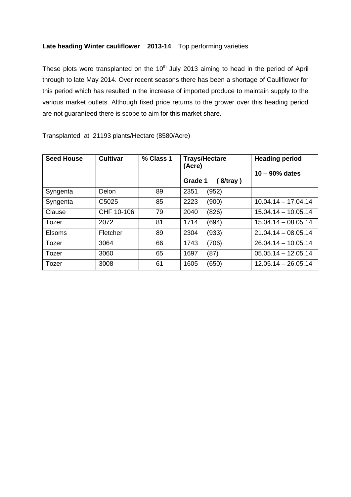#### **Late heading Winter cauliflower 2013-14** Top performing varieties

These plots were transplanted on the  $10<sup>th</sup>$  July 2013 aiming to head in the period of April through to late May 2014. Over recent seasons there has been a shortage of Cauliflower for this period which has resulted in the increase of imported produce to maintain supply to the various market outlets. Although fixed price returns to the grower over this heading period are not guaranteed there is scope to aim for this market share.

| <b>Seed House</b> | <b>Cultivar</b>   | % Class 1 | <b>Trays/Hectare</b><br>(Acre)<br>Grade 1<br>(8/tray) | <b>Heading period</b><br>$10 - 90\%$ dates |
|-------------------|-------------------|-----------|-------------------------------------------------------|--------------------------------------------|
| Syngenta          | Delon             | 89        | 2351<br>(952)                                         |                                            |
| Syngenta          | C <sub>5025</sub> | 85        | 2223<br>(900)                                         | $10.04.14 - 17.04.14$                      |
| Clause            | CHF 10-106        | 79        | (826)<br>2040                                         | $15.04.14 - 10.05.14$                      |
| Tozer             | 2072              | 81        | 1714<br>(694)                                         | $15.04.14 - 08.05.14$                      |
| <b>Elsoms</b>     | Fletcher          | 89        | 2304<br>(933)                                         | $21.04.14 - 08.05.14$                      |
| Tozer             | 3064              | 66        | (706)<br>1743                                         | $26.04.14 - 10.05.14$                      |
| Tozer             | 3060              | 65        | 1697<br>(87)                                          | $05.05.14 - 12.05.14$                      |
| Tozer             | 3008              | 61        | 1605<br>(650)                                         | $12.05.14 - 26.05.14$                      |

Transplanted at 21193 plants/Hectare (8580/Acre)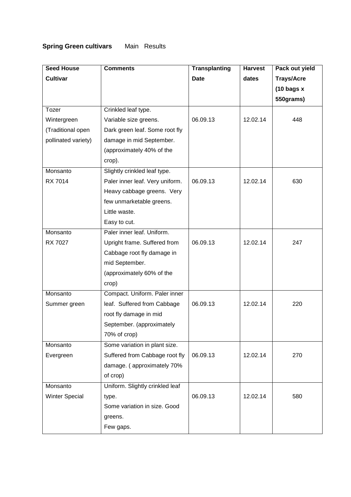# **Spring Green cultivars** Main Results

| <b>Seed House</b>     | <b>Comments</b>                 | <b>Transplanting</b> | <b>Harvest</b> | Pack out yield        |
|-----------------------|---------------------------------|----------------------|----------------|-----------------------|
| <b>Cultivar</b>       |                                 | <b>Date</b>          | dates          | <b>Trays/Acre</b>     |
|                       |                                 |                      |                | $(10 \text{ bags} x)$ |
|                       |                                 |                      |                | 550grams)             |
| Tozer                 | Crinkled leaf type.             |                      |                |                       |
| Wintergreen           | Variable size greens.           | 06.09.13             | 12.02.14       | 448                   |
| (Traditional open     | Dark green leaf. Some root fly  |                      |                |                       |
| pollinated variety)   | damage in mid September.        |                      |                |                       |
|                       | (approximately 40% of the       |                      |                |                       |
|                       | crop).                          |                      |                |                       |
| Monsanto              | Slightly crinkled leaf type.    |                      |                |                       |
| RX 7014               | Paler inner leaf. Very uniform. | 06.09.13             | 12.02.14       | 630                   |
|                       | Heavy cabbage greens. Very      |                      |                |                       |
|                       | few unmarketable greens.        |                      |                |                       |
|                       | Little waste.                   |                      |                |                       |
|                       | Easy to cut.                    |                      |                |                       |
| Monsanto              | Paler inner leaf. Uniform.      |                      |                |                       |
| RX 7027               | Upright frame. Suffered from    | 06.09.13             | 12.02.14       | 247                   |
|                       | Cabbage root fly damage in      |                      |                |                       |
|                       | mid September.                  |                      |                |                       |
|                       | (approximately 60% of the       |                      |                |                       |
|                       | crop)                           |                      |                |                       |
| Monsanto              | Compact. Uniform. Paler inner   |                      |                |                       |
| Summer green          | leaf. Suffered from Cabbage     | 06.09.13             | 12.02.14       | 220                   |
|                       | root fly damage in mid          |                      |                |                       |
|                       | September. (approximately       |                      |                |                       |
|                       | 70% of crop)                    |                      |                |                       |
| Monsanto              | Some variation in plant size.   |                      |                |                       |
| Evergreen             | Suffered from Cabbage root fly  | 06.09.13             | 12.02.14       | 270                   |
|                       | damage. (approximately 70%      |                      |                |                       |
|                       | of crop)                        |                      |                |                       |
| Monsanto              | Uniform. Slightly crinkled leaf |                      |                |                       |
| <b>Winter Special</b> | type.                           | 06.09.13             | 12.02.14       | 580                   |
|                       | Some variation in size. Good    |                      |                |                       |
|                       | greens.                         |                      |                |                       |
|                       | Few gaps.                       |                      |                |                       |